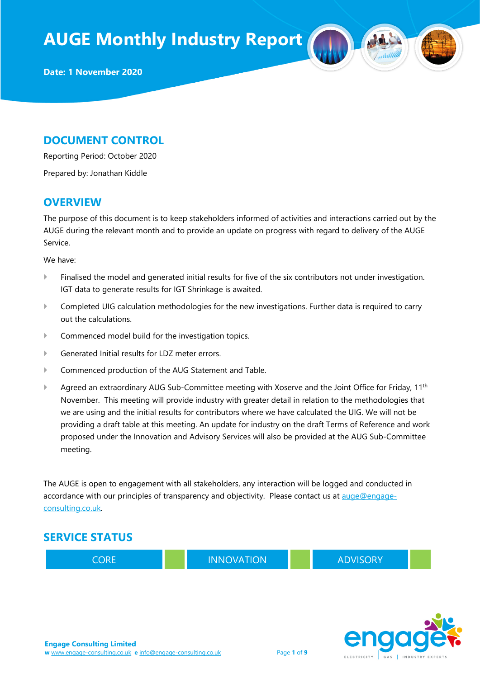#### DOCUMENT CONTROL

Reporting Period: October 2020

Prepared by: Jonathan Kiddle

#### **OVERVIEW**

The purpose of this document is to keep stakeholders informed of activities and interactions carried out by the AUGE during the relevant month and to provide an update on progress with regard to delivery of the AUGE Service.

We have:

- Finalised the model and generated initial results for five of the six contributors not under investigation. IGT data to generate results for IGT Shrinkage is awaited.
- Completed UIG calculation methodologies for the new investigations. Further data is required to carry out the calculations.
- Commenced model build for the investigation topics.
- Generated Initial results for LDZ meter errors.
- Commenced production of the AUG Statement and Table.
- Agreed an extraordinary AUG Sub-Committee meeting with Xoserve and the Joint Office for Friday, 11<sup>th</sup> November. This meeting will provide industry with greater detail in relation to the methodologies that we are using and the initial results for contributors where we have calculated the UIG. We will not be providing a draft table at this meeting. An update for industry on the draft Terms of Reference and work proposed under the Innovation and Advisory Services will also be provided at the AUG Sub-Committee meeting.

The AUGE is open to engagement with all stakeholders, any interaction will be logged and conducted in accordance with our principles of transparency and objectivity. Please contact us at auge@engageconsulting.co.uk.

#### SERVICE STATUS



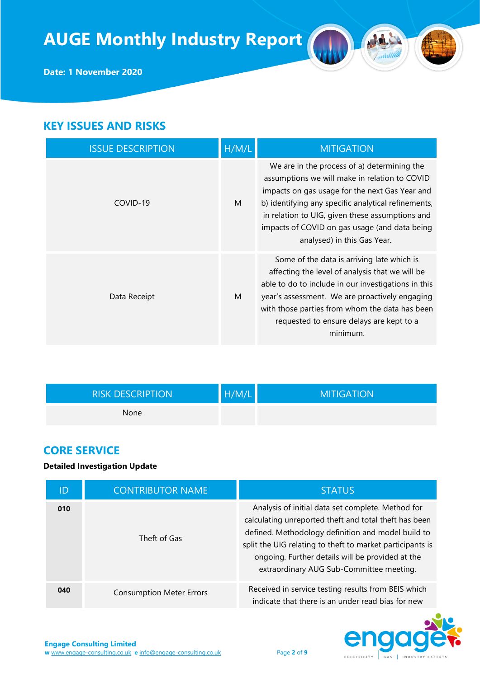

### KEY ISSUES AND RISKS

| <b>ISSUE DESCRIPTION</b> | H/M/L | <b>MITIGATION</b>                                                                                                                                                                                                                                                                                                                        |
|--------------------------|-------|------------------------------------------------------------------------------------------------------------------------------------------------------------------------------------------------------------------------------------------------------------------------------------------------------------------------------------------|
| COVID-19                 | M     | We are in the process of a) determining the<br>assumptions we will make in relation to COVID<br>impacts on gas usage for the next Gas Year and<br>b) identifying any specific analytical refinements,<br>in relation to UIG, given these assumptions and<br>impacts of COVID on gas usage (and data being<br>analysed) in this Gas Year. |
| Data Receipt             | M     | Some of the data is arriving late which is<br>affecting the level of analysis that we will be<br>able to do to include in our investigations in this<br>year's assessment. We are proactively engaging<br>with those parties from whom the data has been<br>requested to ensure delays are kept to a<br>minimum.                         |

| <b>RISK DESCRIPTION</b> | H/M/L | <b>MITIGATION</b> |
|-------------------------|-------|-------------------|
| None                    |       |                   |

### CORE SERVICE

#### Detailed Investigation Update

| ID  | <b>CONTRIBUTOR NAME</b>         | <b>STATUS</b>                                                                                                                                                                                                                                                                                                                 |
|-----|---------------------------------|-------------------------------------------------------------------------------------------------------------------------------------------------------------------------------------------------------------------------------------------------------------------------------------------------------------------------------|
| 010 | Theft of Gas                    | Analysis of initial data set complete. Method for<br>calculating unreported theft and total theft has been<br>defined. Methodology definition and model build to<br>split the UIG relating to theft to market participants is<br>ongoing. Further details will be provided at the<br>extraordinary AUG Sub-Committee meeting. |
| 040 | <b>Consumption Meter Errors</b> | Received in service testing results from BEIS which<br>indicate that there is an under read bias for new                                                                                                                                                                                                                      |

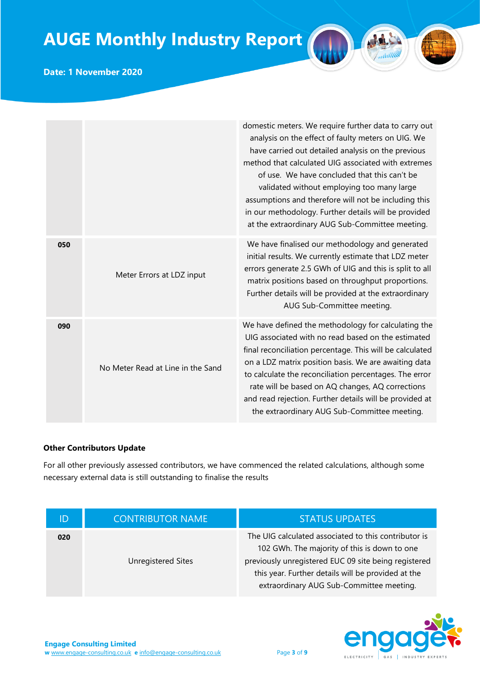#### Date: 1 November 2020

|     |                                   | domestic meters. We require further data to carry out<br>analysis on the effect of faulty meters on UIG. We<br>have carried out detailed analysis on the previous<br>method that calculated UIG associated with extremes<br>of use. We have concluded that this can't be<br>validated without employing too many large<br>assumptions and therefore will not be including this<br>in our methodology. Further details will be provided<br>at the extraordinary AUG Sub-Committee meeting. |
|-----|-----------------------------------|-------------------------------------------------------------------------------------------------------------------------------------------------------------------------------------------------------------------------------------------------------------------------------------------------------------------------------------------------------------------------------------------------------------------------------------------------------------------------------------------|
| 050 | Meter Errors at LDZ input         | We have finalised our methodology and generated<br>initial results. We currently estimate that LDZ meter<br>errors generate 2.5 GWh of UIG and this is split to all<br>matrix positions based on throughput proportions.<br>Further details will be provided at the extraordinary<br>AUG Sub-Committee meeting.                                                                                                                                                                           |
| 090 | No Meter Read at Line in the Sand | We have defined the methodology for calculating the<br>UIG associated with no read based on the estimated<br>final reconciliation percentage. This will be calculated<br>on a LDZ matrix position basis. We are awaiting data<br>to calculate the reconciliation percentages. The error<br>rate will be based on AQ changes, AQ corrections<br>and read rejection. Further details will be provided at<br>the extraordinary AUG Sub-Committee meeting.                                    |

#### Other Contributors Update

For all other previously assessed contributors, we have commenced the related calculations, although some necessary external data is still outstanding to finalise the results

| ID  | <b>CONTRIBUTOR NAME</b> | <b>STATUS UPDATES</b>                                                                                                                                                                                                                                          |
|-----|-------------------------|----------------------------------------------------------------------------------------------------------------------------------------------------------------------------------------------------------------------------------------------------------------|
| 020 | Unregistered Sites      | The UIG calculated associated to this contributor is<br>102 GWh. The majority of this is down to one<br>previously unregistered EUC 09 site being registered<br>this year. Further details will be provided at the<br>extraordinary AUG Sub-Committee meeting. |

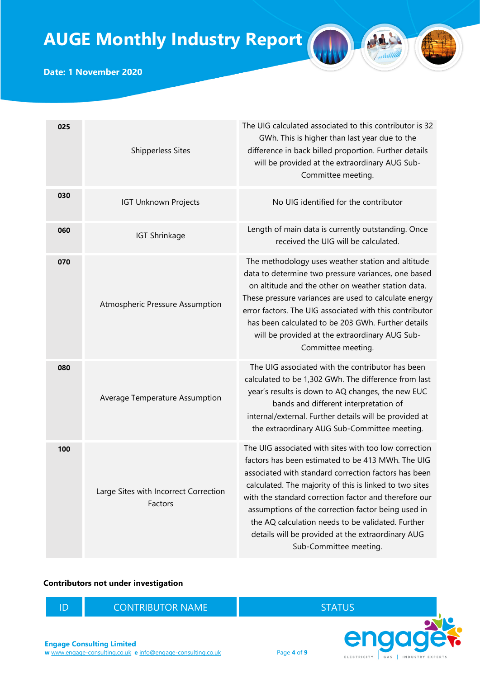

Date: 1 November 2020

| 025 | <b>Shipperless Sites</b>                         | The UIG calculated associated to this contributor is 32<br>GWh. This is higher than last year due to the<br>difference in back billed proportion. Further details<br>will be provided at the extraordinary AUG Sub-<br>Committee meeting.                                                                                                                                                                                                                                        |
|-----|--------------------------------------------------|----------------------------------------------------------------------------------------------------------------------------------------------------------------------------------------------------------------------------------------------------------------------------------------------------------------------------------------------------------------------------------------------------------------------------------------------------------------------------------|
| 030 | <b>IGT Unknown Projects</b>                      | No UIG identified for the contributor                                                                                                                                                                                                                                                                                                                                                                                                                                            |
| 060 | <b>IGT Shrinkage</b>                             | Length of main data is currently outstanding. Once<br>received the UIG will be calculated.                                                                                                                                                                                                                                                                                                                                                                                       |
| 070 | Atmospheric Pressure Assumption                  | The methodology uses weather station and altitude<br>data to determine two pressure variances, one based<br>on altitude and the other on weather station data.<br>These pressure variances are used to calculate energy<br>error factors. The UIG associated with this contributor<br>has been calculated to be 203 GWh. Further details<br>will be provided at the extraordinary AUG Sub-<br>Committee meeting.                                                                 |
| 080 | Average Temperature Assumption                   | The UIG associated with the contributor has been<br>calculated to be 1,302 GWh. The difference from last<br>year's results is down to AQ changes, the new EUC<br>bands and different interpretation of<br>internal/external. Further details will be provided at<br>the extraordinary AUG Sub-Committee meeting.                                                                                                                                                                 |
| 100 | Large Sites with Incorrect Correction<br>Factors | The UIG associated with sites with too low correction<br>factors has been estimated to be 413 MWh. The UIG<br>associated with standard correction factors has been<br>calculated. The majority of this is linked to two sites<br>with the standard correction factor and therefore our<br>assumptions of the correction factor being used in<br>the AQ calculation needs to be validated. Further<br>details will be provided at the extraordinary AUG<br>Sub-Committee meeting. |

#### Contributors not under investigation

ID CONTRIBUTOR NAME STATUS

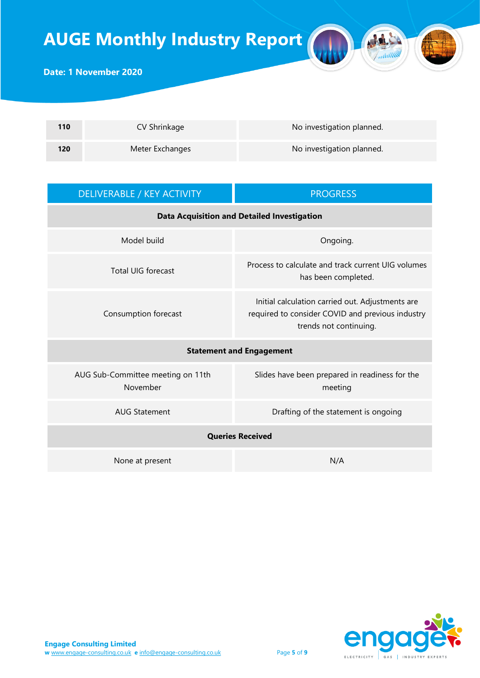

| 110 | CV Shrinkage    | No investigation planned. |
|-----|-----------------|---------------------------|
| 120 | Meter Exchanges | No investigation planned. |

| DELIVERABLE / KEY ACTIVITY                         | <b>PROGRESS</b>                                                                                                                |  |
|----------------------------------------------------|--------------------------------------------------------------------------------------------------------------------------------|--|
| <b>Data Acquisition and Detailed Investigation</b> |                                                                                                                                |  |
| Model build                                        | Ongoing.                                                                                                                       |  |
| <b>Total UIG forecast</b>                          | Process to calculate and track current UIG volumes<br>has been completed.                                                      |  |
| Consumption forecast                               | Initial calculation carried out. Adjustments are<br>required to consider COVID and previous industry<br>trends not continuing. |  |
|                                                    | <b>Statement and Engagement</b>                                                                                                |  |
| AUG Sub-Committee meeting on 11th<br>November      | Slides have been prepared in readiness for the<br>meeting                                                                      |  |
| <b>AUG Statement</b>                               | Drafting of the statement is ongoing                                                                                           |  |
| <b>Queries Received</b>                            |                                                                                                                                |  |
| None at present                                    | N/A                                                                                                                            |  |

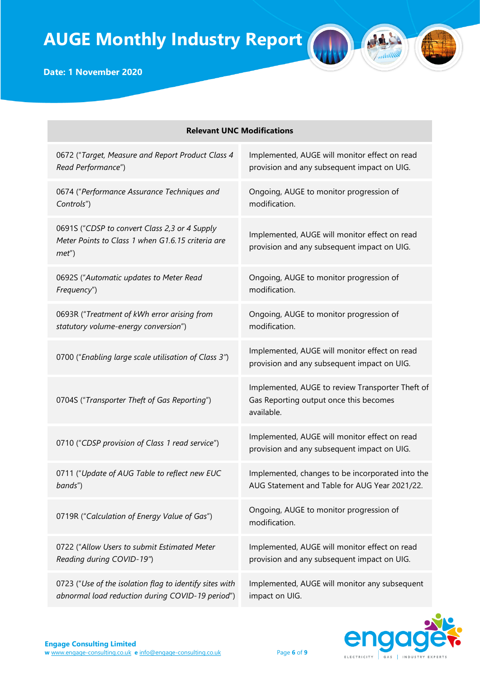| <b>Relevant UNC Modifications</b>                                                                              |                                                                                                          |  |
|----------------------------------------------------------------------------------------------------------------|----------------------------------------------------------------------------------------------------------|--|
| 0672 ("Target, Measure and Report Product Class 4                                                              | Implemented, AUGE will monitor effect on read                                                            |  |
| Read Performance")                                                                                             | provision and any subsequent impact on UIG.                                                              |  |
| 0674 ("Performance Assurance Techniques and                                                                    | Ongoing, AUGE to monitor progression of                                                                  |  |
| Controls")                                                                                                     | modification.                                                                                            |  |
| 0691S ("CDSP to convert Class 2,3 or 4 Supply<br>Meter Points to Class 1 when G1.6.15 criteria are<br>$met'$ ) | Implemented, AUGE will monitor effect on read<br>provision and any subsequent impact on UIG.             |  |
| 0692S ("Automatic updates to Meter Read                                                                        | Ongoing, AUGE to monitor progression of                                                                  |  |
| Frequency")                                                                                                    | modification.                                                                                            |  |
| 0693R ("Treatment of kWh error arising from                                                                    | Ongoing, AUGE to monitor progression of                                                                  |  |
| statutory volume-energy conversion")                                                                           | modification.                                                                                            |  |
| 0700 ("Enabling large scale utilisation of Class 3")                                                           | Implemented, AUGE will monitor effect on read<br>provision and any subsequent impact on UIG.             |  |
| 0704S ("Transporter Theft of Gas Reporting")                                                                   | Implemented, AUGE to review Transporter Theft of<br>Gas Reporting output once this becomes<br>available. |  |
| 0710 ("CDSP provision of Class 1 read service")                                                                | Implemented, AUGE will monitor effect on read<br>provision and any subsequent impact on UIG.             |  |
| 0711 ("Update of AUG Table to reflect new EUC                                                                  | Implemented, changes to be incorporated into the                                                         |  |
| bands")                                                                                                        | AUG Statement and Table for AUG Year 2021/22.                                                            |  |
| 0719R ("Calculation of Energy Value of Gas")                                                                   | Ongoing, AUGE to monitor progression of<br>modification.                                                 |  |
| 0722 ("Allow Users to submit Estimated Meter                                                                   | Implemented, AUGE will monitor effect on read                                                            |  |
| Reading during COVID-19")                                                                                      | provision and any subsequent impact on UIG.                                                              |  |
| 0723 ("Use of the isolation flag to identify sites with                                                        | Implemented, AUGE will monitor any subsequent                                                            |  |
| abnormal load reduction during COVID-19 period")                                                               | impact on UIG.                                                                                           |  |



AL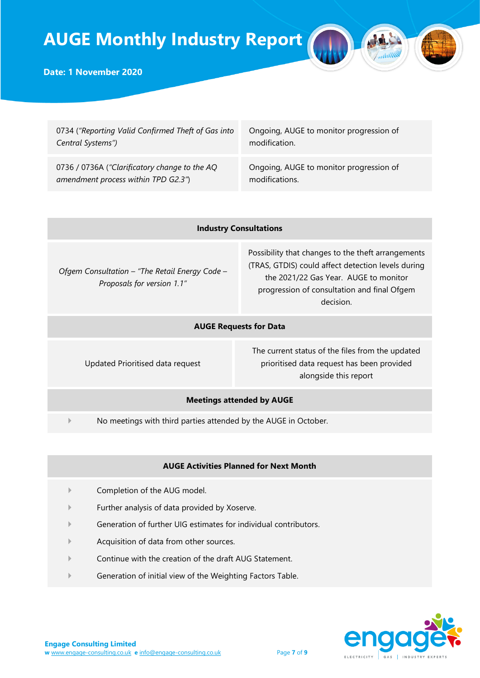

#### Date: 1 November 2020

| 0734 ("Reporting Valid Confirmed Theft of Gas into | Ongoing, AUGE to monitor progression of |
|----------------------------------------------------|-----------------------------------------|
| Central Systems")                                  | modification.                           |
| 0736 / 0736A ("Clarificatory change to the AQ      | Ongoing, AUGE to monitor progression of |
| amendment process within TPD G2.3")                | modifications.                          |

|  | <b>Industry Consultations</b> |
|--|-------------------------------|
|--|-------------------------------|

Ofgem Consultation – "The Retail Energy Code – Proposals for version 1.1"

Possibility that changes to the theft arrangements (TRAS, GTDIS) could affect detection levels during the 2021/22 Gas Year. AUGE to monitor progression of consultation and final Ofgem decision.

#### AUGE Requests for Data

Updated Prioritised data request

The current status of the files from the updated prioritised data request has been provided alongside this report

#### Meetings attended by AUGE

No meetings with third parties attended by the AUGE in October.

#### AUGE Activities Planned for Next Month

- Completion of the AUG model.
- Further analysis of data provided by Xoserve.
- Generation of further UIG estimates for individual contributors.
- Acquisition of data from other sources.
- Continue with the creation of the draft AUG Statement.
- Generation of initial view of the Weighting Factors Table.

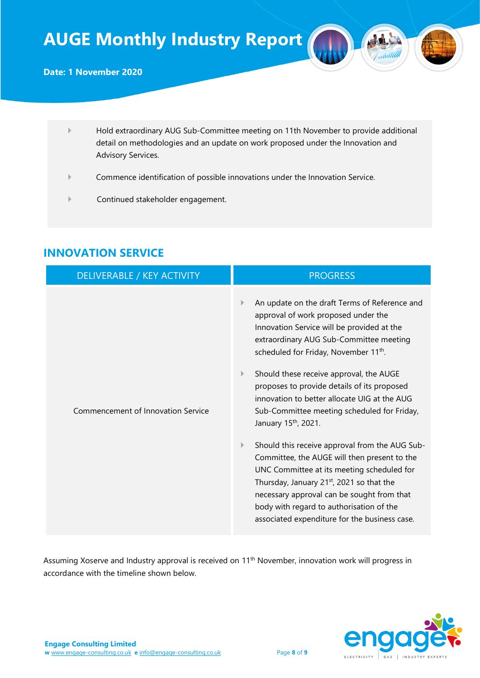- Hold extraordinary AUG Sub-Committee meeting on 11th November to provide additional detail on methodologies and an update on work proposed under the Innovation and Advisory Services.
- Commence identification of possible innovations under the Innovation Service.
- Continued stakeholder engagement.

| <b>DELIVERABLE / KEY ACTIVITY</b>  | <b>PROGRESS</b>                                                                                                                                                                                                                                                                                                                                                                                                                                                                                                                                                                                                                                                                                                                                                                                                          |
|------------------------------------|--------------------------------------------------------------------------------------------------------------------------------------------------------------------------------------------------------------------------------------------------------------------------------------------------------------------------------------------------------------------------------------------------------------------------------------------------------------------------------------------------------------------------------------------------------------------------------------------------------------------------------------------------------------------------------------------------------------------------------------------------------------------------------------------------------------------------|
| Commencement of Innovation Service | An update on the draft Terms of Reference and<br>approval of work proposed under the<br>Innovation Service will be provided at the<br>extraordinary AUG Sub-Committee meeting<br>scheduled for Friday, November 11 <sup>th</sup> .<br>Should these receive approval, the AUGE<br>proposes to provide details of its proposed<br>innovation to better allocate UIG at the AUG<br>Sub-Committee meeting scheduled for Friday,<br>January 15 <sup>th</sup> , 2021.<br>Should this receive approval from the AUG Sub-<br>▶<br>Committee, the AUGE will then present to the<br>UNC Committee at its meeting scheduled for<br>Thursday, January 21 <sup>st</sup> , 2021 so that the<br>necessary approval can be sought from that<br>body with regard to authorisation of the<br>associated expenditure for the business case. |

## INNOVATION SERVICE

Assuming Xoserve and Industry approval is received on 11<sup>th</sup> November, innovation work will progress in accordance with the timeline shown below.